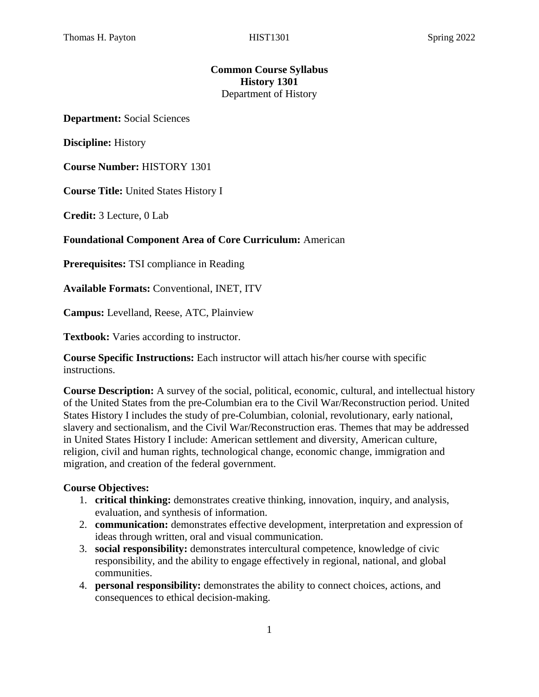## **Common Course Syllabus History 1301** Department of History

**Department:** Social Sciences

**Discipline:** History

**Course Number:** HISTORY 1301

**Course Title:** United States History I

**Credit:** 3 Lecture, 0 Lab

#### **Foundational Component Area of Core Curriculum:** American

**Prerequisites:** TSI compliance in Reading

**Available Formats:** Conventional, INET, ITV

**Campus:** Levelland, Reese, ATC, Plainview

**Textbook:** Varies according to instructor.

**Course Specific Instructions:** Each instructor will attach his/her course with specific instructions.

**Course Description:** A survey of the social, political, economic, cultural, and intellectual history of the United States from the pre-Columbian era to the Civil War/Reconstruction period. United States History I includes the study of pre-Columbian, colonial, revolutionary, early national, slavery and sectionalism, and the Civil War/Reconstruction eras. Themes that may be addressed in United States History I include: American settlement and diversity, American culture, religion, civil and human rights, technological change, economic change, immigration and migration, and creation of the federal government.

#### **Course Objectives:**

- 1. **critical thinking:** demonstrates creative thinking, innovation, inquiry, and analysis, evaluation, and synthesis of information.
- 2. **communication:** demonstrates effective development, interpretation and expression of ideas through written, oral and visual communication.
- 3. **social responsibility:** demonstrates intercultural competence, knowledge of civic responsibility, and the ability to engage effectively in regional, national, and global communities.
- 4. **personal responsibility:** demonstrates the ability to connect choices, actions, and consequences to ethical decision-making.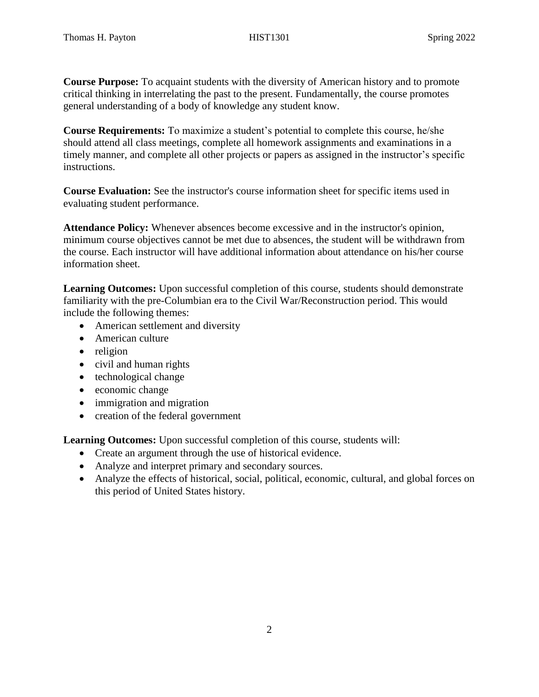**Course Purpose:** To acquaint students with the diversity of American history and to promote critical thinking in interrelating the past to the present. Fundamentally, the course promotes general understanding of a body of knowledge any student know.

**Course Requirements:** To maximize a student's potential to complete this course, he/she should attend all class meetings, complete all homework assignments and examinations in a timely manner, and complete all other projects or papers as assigned in the instructor's specific instructions.

**Course Evaluation:** See the instructor's course information sheet for specific items used in evaluating student performance.

**Attendance Policy:** Whenever absences become excessive and in the instructor's opinion, minimum course objectives cannot be met due to absences, the student will be withdrawn from the course. Each instructor will have additional information about attendance on his/her course information sheet.

**Learning Outcomes:** Upon successful completion of this course, students should demonstrate familiarity with the pre-Columbian era to the Civil War/Reconstruction period. This would include the following themes:

- American settlement and diversity
- American culture
- religion
- civil and human rights
- technological change
- economic change
- immigration and migration
- creation of the federal government

**Learning Outcomes:** Upon successful completion of this course, students will:

- Create an argument through the use of historical evidence.
- Analyze and interpret primary and secondary sources.
- Analyze the effects of historical, social, political, economic, cultural, and global forces on this period of United States history.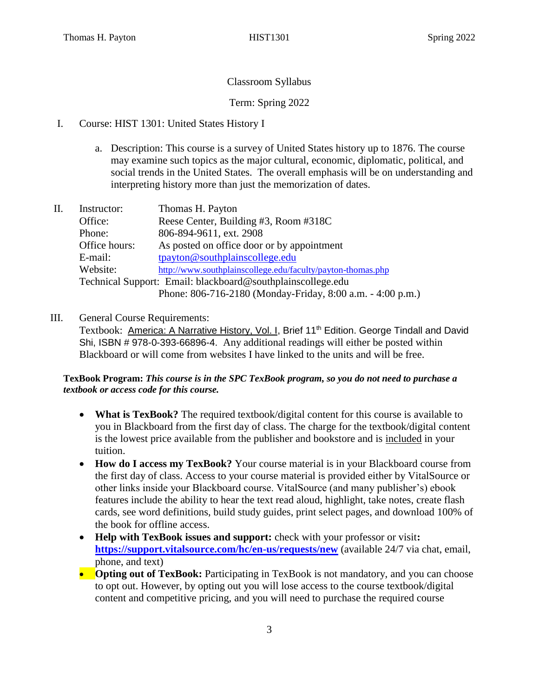## Classroom Syllabus

## Term: Spring 2022

- I. Course: HIST 1301: United States History I
	- a. Description: This course is a survey of United States history up to 1876. The course may examine such topics as the major cultural, economic, diplomatic, political, and social trends in the United States. The overall emphasis will be on understanding and interpreting history more than just the memorization of dates.
- II. Instructor: Thomas H. Payton Office: Reese Center, Building #3, Room #318C Phone: 806-894-9611, ext. 2908 Office hours: As posted on office door or by appointment E-mail: [tpayton@southplainscollege.edu](mailto:tpayton@southplainscollege.edu) Website: <http://www.southplainscollege.edu/faculty/payton-thomas.php> Technical Support: Email: blackboard@southplainscollege.edu Phone: 806-716-2180 (Monday-Friday, 8:00 a.m. - 4:00 p.m.)

### III. General Course Requirements:

Textbook: America: A Narrative History, Vol. I, Brief 11<sup>th</sup> Edition. George Tindall and David Shi, ISBN # 978-0-393-66896-4. Any additional readings will either be posted within Blackboard or will come from websites I have linked to the units and will be free.

### **TexBook Program:** *This course is in the SPC TexBook program, so you do not need to purchase a textbook or access code for this course.*

- **What is TexBook?** The required textbook/digital content for this course is available to you in Blackboard from the first day of class. The charge for the textbook/digital content is the lowest price available from the publisher and bookstore and is included in your tuition.
- **How do I access my TexBook?** Your course material is in your Blackboard course from the first day of class. Access to your course material is provided either by VitalSource or other links inside your Blackboard course. VitalSource (and many publisher's) ebook features include the ability to hear the text read aloud, highlight, take notes, create flash cards, see word definitions, build study guides, print select pages, and download 100% of the book for offline access.
- **Help with TexBook issues and support:** check with your professor or visit**: <https://support.vitalsource.com/hc/en-us/requests/new>** (available 24/7 via chat, email, phone, and text)
- **Opting out of TexBook:** Participating in TexBook is not mandatory, and you can choose to opt out. However, by opting out you will lose access to the course textbook/digital content and competitive pricing, and you will need to purchase the required course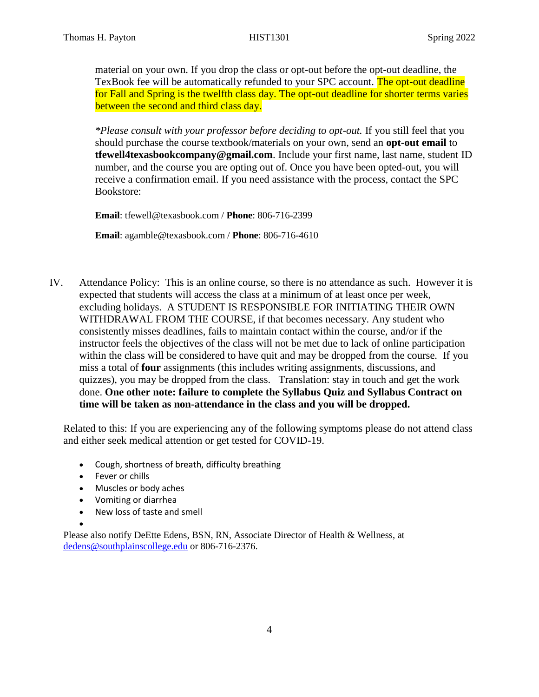material on your own. If you drop the class or opt-out before the opt-out deadline, the TexBook fee will be automatically refunded to your SPC account. The opt-out deadline for Fall and Spring is the twelfth class day. The opt-out deadline for shorter terms varies between the second and third class day.

*\*Please consult with your professor before deciding to opt-out.* If you still feel that you should purchase the course textbook/materials on your own, send an **opt-out email** to **tfewell4texasbookcompany@gmail.com**. Include your first name, last name, student ID number, and the course you are opting out of. Once you have been opted-out, you will receive a confirmation email. If you need assistance with the process, contact the SPC Bookstore:

**Email**: tfewell@texasbook.com / **Phone**: 806-716-2399

**Email**: agamble@texasbook.com / **Phone**: 806-716-4610

IV. Attendance Policy: This is an online course, so there is no attendance as such. However it is expected that students will access the class at a minimum of at least once per week, excluding holidays. A STUDENT IS RESPONSIBLE FOR INITIATING THEIR OWN WITHDRAWAL FROM THE COURSE, if that becomes necessary. Any student who consistently misses deadlines, fails to maintain contact within the course, and/or if the instructor feels the objectives of the class will not be met due to lack of online participation within the class will be considered to have quit and may be dropped from the course. If you miss a total of **four** assignments (this includes writing assignments, discussions, and quizzes), you may be dropped from the class. Translation: stay in touch and get the work done. **One other note: failure to complete the Syllabus Quiz and Syllabus Contract on time will be taken as non-attendance in the class and you will be dropped.**

Related to this: If you are experiencing any of the following symptoms please do not attend class and either seek medical attention or get tested for COVID-19.

- Cough, shortness of breath, difficulty breathing
- Fever or chills

•

- Muscles or body aches
- Vomiting or diarrhea
- New loss of taste and smell

Please also notify DeEtte Edens, BSN, RN, Associate Director of Health & Wellness, at [dedens@southplainscollege.edu](mailto:dedens@southplainscollege.edu) or 806-716-2376.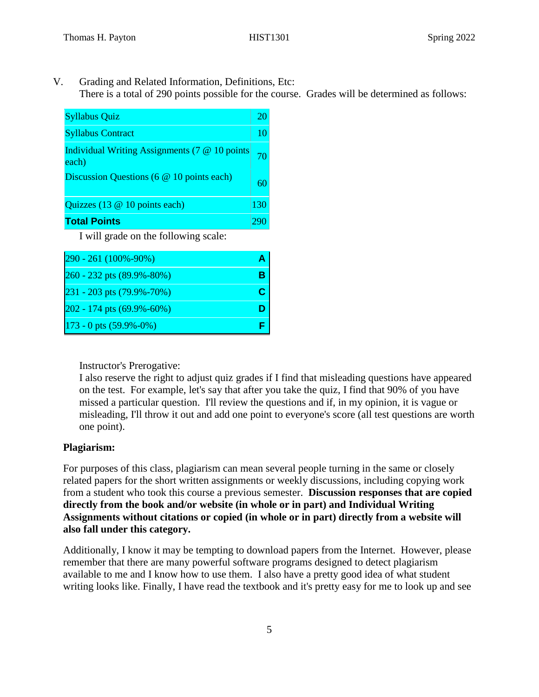V. Grading and Related Information, Definitions, Etc: There is a total of 290 points possible for the course. Grades will be determined as follows:

| <b>Syllabus Quiz</b>                                   |     |
|--------------------------------------------------------|-----|
| <b>Syllabus Contract</b>                               | 10  |
| Individual Writing Assignments (7 @ 10 points<br>each) |     |
| Discussion Questions (6 @ 10 points each)              | 60. |
| Quizzes (13 @ 10 points each)                          | 130 |
| <b>Total Points</b>                                    |     |

I will grade on the following scale:

| 290 - 261 (100%-90%)           |   |
|--------------------------------|---|
| 260 - 232 pts (89.9%-80%)      |   |
| 231 - 203 pts (79.9%-70%)      | С |
| 202 - 174 pts (69.9%-60%)      |   |
| $173 - 0$ pts $(59.9\% - 0\%)$ |   |

Instructor's Prerogative:

I also reserve the right to adjust quiz grades if I find that misleading questions have appeared on the test. For example, let's say that after you take the quiz, I find that 90% of you have missed a particular question. I'll review the questions and if, in my opinion, it is vague or misleading, I'll throw it out and add one point to everyone's score (all test questions are worth one point).

### **Plagiarism:**

For purposes of this class, plagiarism can mean several people turning in the same or closely related papers for the short written assignments or weekly discussions, including copying work from a student who took this course a previous semester. **Discussion responses that are copied directly from the book and/or website (in whole or in part) and Individual Writing Assignments without citations or copied (in whole or in part) directly from a website will also fall under this category.** 

Additionally, I know it may be tempting to download papers from the Internet. However, please remember that there are many powerful software programs designed to detect plagiarism available to me and I know how to use them. I also have a pretty good idea of what student writing looks like. Finally, I have read the textbook and it's pretty easy for me to look up and see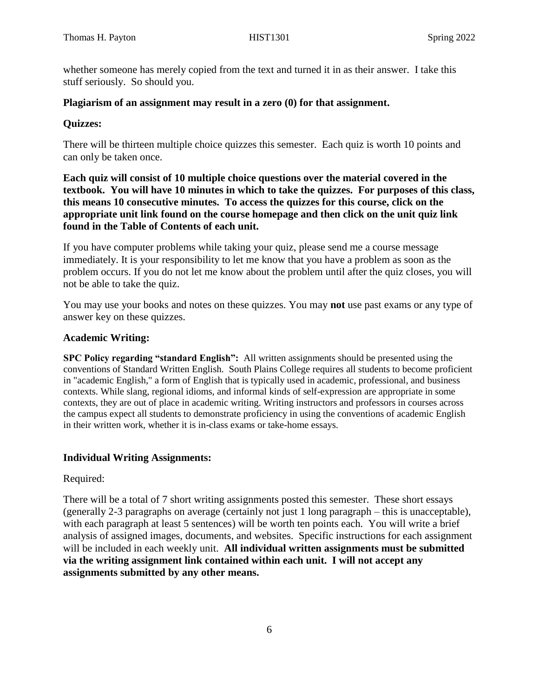whether someone has merely copied from the text and turned it in as their answer. I take this stuff seriously. So should you.

#### **Plagiarism of an assignment may result in a zero (0) for that assignment.**

#### **Quizzes:**

There will be thirteen multiple choice quizzes this semester. Each quiz is worth 10 points and can only be taken once.

**Each quiz will consist of 10 multiple choice questions over the material covered in the textbook. You will have 10 minutes in which to take the quizzes. For purposes of this class, this means 10 consecutive minutes. To access the quizzes for this course, click on the appropriate unit link found on the course homepage and then click on the unit quiz link found in the Table of Contents of each unit.** 

If you have computer problems while taking your quiz, please send me a course message immediately. It is your responsibility to let me know that you have a problem as soon as the problem occurs. If you do not let me know about the problem until after the quiz closes, you will not be able to take the quiz.

You may use your books and notes on these quizzes. You may **not** use past exams or any type of answer key on these quizzes.

#### **Academic Writing:**

**SPC Policy regarding "standard English":** All written assignments should be presented using the conventions of Standard Written English. South Plains College requires all students to become proficient in "academic English," a form of English that is typically used in academic, professional, and business contexts. While slang, regional idioms, and informal kinds of self-expression are appropriate in some contexts, they are out of place in academic writing. Writing instructors and professors in courses across the campus expect all students to demonstrate proficiency in using the conventions of academic English in their written work, whether it is in-class exams or take-home essays.

### **Individual Writing Assignments:**

#### Required:

There will be a total of 7 short writing assignments posted this semester. These short essays (generally 2-3 paragraphs on average (certainly not just 1 long paragraph – this is unacceptable), with each paragraph at least 5 sentences) will be worth ten points each. You will write a brief analysis of assigned images, documents, and websites. Specific instructions for each assignment will be included in each weekly unit. **All individual written assignments must be submitted via the writing assignment link contained within each unit. I will not accept any assignments submitted by any other means.**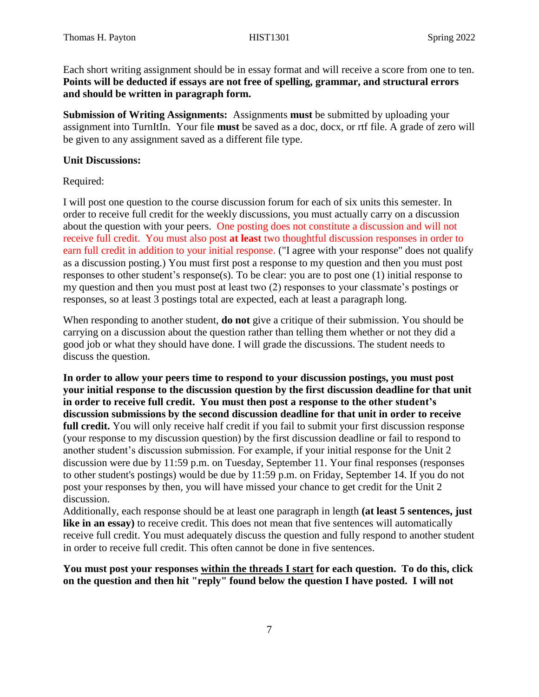Each short writing assignment should be in essay format and will receive a score from one to ten. **Points will be deducted if essays are not free of spelling, grammar, and structural errors and should be written in paragraph form.** 

**Submission of Writing Assignments:** Assignments **must** be submitted by uploading your assignment into TurnItIn. Your file **must** be saved as a doc, docx, or rtf file. A grade of zero will be given to any assignment saved as a different file type.

#### **Unit Discussions:**

Required:

I will post one question to the course discussion forum for each of six units this semester. In order to receive full credit for the weekly discussions, you must actually carry on a discussion about the question with your peers. One posting does not constitute a discussion and will not receive full credit. You must also post **at least** two thoughtful discussion responses in order to earn full credit in addition to your initial response. ("I agree with your response" does not qualify as a discussion posting.) You must first post a response to my question and then you must post responses to other student's response(s). To be clear: you are to post one (1) initial response to my question and then you must post at least two (2) responses to your classmate's postings or responses, so at least 3 postings total are expected, each at least a paragraph long.

When responding to another student, **do not** give a critique of their submission. You should be carrying on a discussion about the question rather than telling them whether or not they did a good job or what they should have done. I will grade the discussions. The student needs to discuss the question.

**In order to allow your peers time to respond to your discussion postings, you must post your initial response to the discussion question by the first discussion deadline for that unit in order to receive full credit. You must then post a response to the other student's discussion submissions by the second discussion deadline for that unit in order to receive full credit.** You will only receive half credit if you fail to submit your first discussion response (your response to my discussion question) by the first discussion deadline or fail to respond to another student's discussion submission. For example, if your initial response for the Unit 2 discussion were due by 11:59 p.m. on Tuesday, September 11. Your final responses (responses to other student's postings) would be due by 11:59 p.m. on Friday, September 14. If you do not post your responses by then, you will have missed your chance to get credit for the Unit 2 discussion.

Additionally, each response should be at least one paragraph in length **(at least 5 sentences, just**  like in an essay) to receive credit. This does not mean that five sentences will automatically receive full credit. You must adequately discuss the question and fully respond to another student in order to receive full credit. This often cannot be done in five sentences.

### **You must post your responses within the threads I start for each question. To do this, click on the question and then hit "reply" found below the question I have posted. I will not**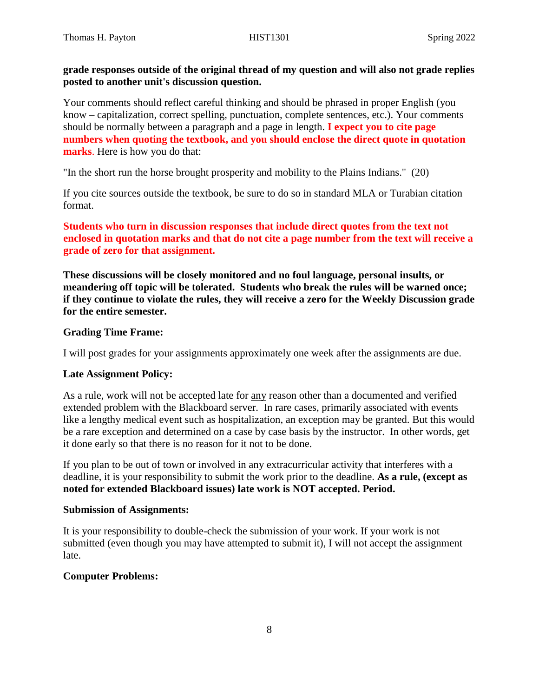## **grade responses outside of the original thread of my question and will also not grade replies posted to another unit's discussion question.**

Your comments should reflect careful thinking and should be phrased in proper English (you know – capitalization, correct spelling, punctuation, complete sentences, etc.). Your comments should be normally between a paragraph and a page in length. **I expect you to cite page numbers when quoting the textbook, and you should enclose the direct quote in quotation marks**. Here is how you do that:

"In the short run the horse brought prosperity and mobility to the Plains Indians." (20)

If you cite sources outside the textbook, be sure to do so in standard MLA or Turabian citation format.

**Students who turn in discussion responses that include direct quotes from the text not enclosed in quotation marks and that do not cite a page number from the text will receive a grade of zero for that assignment.**

**These discussions will be closely monitored and no foul language, personal insults, or meandering off topic will be tolerated. Students who break the rules will be warned once; if they continue to violate the rules, they will receive a zero for the Weekly Discussion grade for the entire semester.** 

### **Grading Time Frame:**

I will post grades for your assignments approximately one week after the assignments are due.

#### **Late Assignment Policy:**

As a rule, work will not be accepted late for any reason other than a documented and verified extended problem with the Blackboard server. In rare cases, primarily associated with events like a lengthy medical event such as hospitalization, an exception may be granted. But this would be a rare exception and determined on a case by case basis by the instructor. In other words, get it done early so that there is no reason for it not to be done.

If you plan to be out of town or involved in any extracurricular activity that interferes with a deadline, it is your responsibility to submit the work prior to the deadline. **As a rule, (except as noted for extended Blackboard issues) late work is NOT accepted. Period.** 

#### **Submission of Assignments:**

It is your responsibility to double-check the submission of your work. If your work is not submitted (even though you may have attempted to submit it), I will not accept the assignment late.

### **Computer Problems:**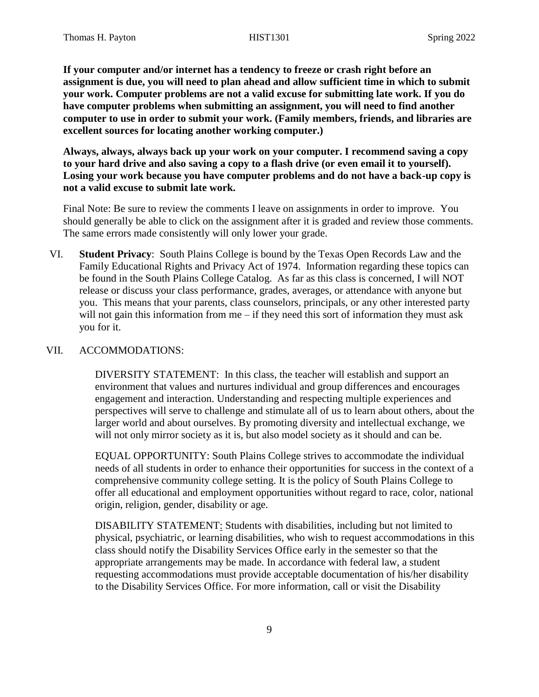**If your computer and/or internet has a tendency to freeze or crash right before an assignment is due, you will need to plan ahead and allow sufficient time in which to submit your work. Computer problems are not a valid excuse for submitting late work. If you do have computer problems when submitting an assignment, you will need to find another computer to use in order to submit your work. (Family members, friends, and libraries are excellent sources for locating another working computer.)**

**Always, always, always back up your work on your computer. I recommend saving a copy to your hard drive and also saving a copy to a flash drive (or even email it to yourself). Losing your work because you have computer problems and do not have a back-up copy is not a valid excuse to submit late work.**

Final Note: Be sure to review the comments I leave on assignments in order to improve. You should generally be able to click on the assignment after it is graded and review those comments. The same errors made consistently will only lower your grade.

VI. **Student Privacy**: South Plains College is bound by the Texas Open Records Law and the Family Educational Rights and Privacy Act of 1974. Information regarding these topics can be found in the South Plains College Catalog. As far as this class is concerned, I will NOT release or discuss your class performance, grades, averages, or attendance with anyone but you. This means that your parents, class counselors, principals, or any other interested party will not gain this information from me – if they need this sort of information they must ask you for it.

### VII. ACCOMMODATIONS:

DIVERSITY STATEMENT: In this class, the teacher will establish and support an environment that values and nurtures individual and group differences and encourages engagement and interaction. Understanding and respecting multiple experiences and perspectives will serve to challenge and stimulate all of us to learn about others, about the larger world and about ourselves. By promoting diversity and intellectual exchange, we will not only mirror society as it is, but also model society as it should and can be.

EQUAL OPPORTUNITY: South Plains College strives to accommodate the individual needs of all students in order to enhance their opportunities for success in the context of a comprehensive community college setting. It is the policy of South Plains College to offer all educational and employment opportunities without regard to race, color, national origin, religion, gender, disability or age.

DISABILITY STATEMENT: Students with disabilities, including but not limited to physical, psychiatric, or learning disabilities, who wish to request accommodations in this class should notify the Disability Services Office early in the semester so that the appropriate arrangements may be made. In accordance with federal law, a student requesting accommodations must provide acceptable documentation of his/her disability to the Disability Services Office. For more information, call or visit the Disability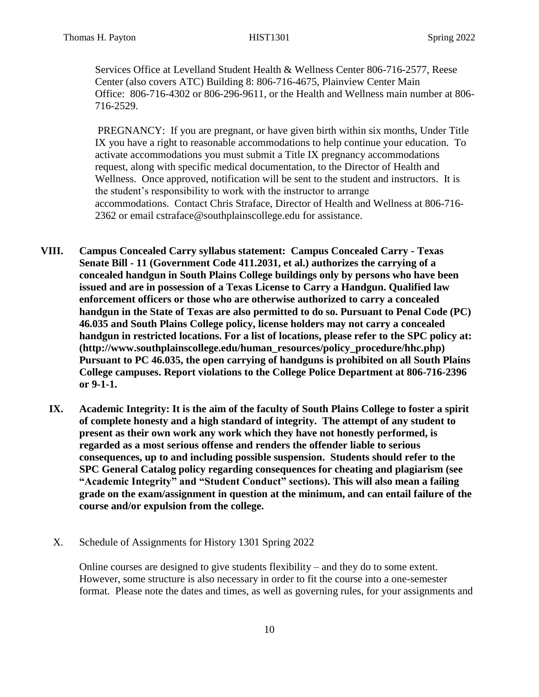Services Office at Levelland Student Health & Wellness Center 806-716-2577, Reese Center (also covers ATC) Building 8: 806-716-4675, Plainview Center Main Office: 806-716-4302 or 806-296-9611, or the Health and Wellness main number at 806- 716-2529.

PREGNANCY: If you are pregnant, or have given birth within six months, Under Title IX you have a right to reasonable accommodations to help continue your education. To activate accommodations you must submit a Title IX pregnancy accommodations request, along with specific medical documentation, to the Director of Health and Wellness. Once approved, notification will be sent to the student and instructors. It is the student's responsibility to work with the instructor to arrange accommodations. Contact Chris Straface, Director of Health and Wellness at 806-716- 2362 or email [cstraface@southplainscollege.edu](mailto:cstraface@southplainscollege.edu) for assistance.

- **VIII. Campus Concealed Carry syllabus statement: Campus Concealed Carry - Texas Senate Bill - 11 (Government Code 411.2031, et al.) authorizes the carrying of a concealed handgun in South Plains College buildings only by persons who have been issued and are in possession of a Texas License to Carry a Handgun. Qualified law enforcement officers or those who are otherwise authorized to carry a concealed handgun in the State of Texas are also permitted to do so. Pursuant to Penal Code (PC) 46.035 and South Plains College policy, license holders may not carry a concealed handgun in restricted locations. For a list of locations, please refer to the SPC policy at: (http://www.southplainscollege.edu/human\_resources/policy\_procedure/hhc.php) Pursuant to PC 46.035, the open carrying of handguns is prohibited on all South Plains College campuses. Report violations to the College Police Department at 806-716-2396 or 9-1-1.**
	- **IX. Academic Integrity: It is the aim of the faculty of South Plains College to foster a spirit of complete honesty and a high standard of integrity. The attempt of any student to present as their own work any work which they have not honestly performed, is regarded as a most serious offense and renders the offender liable to serious consequences, up to and including possible suspension. Students should refer to the SPC General Catalog policy regarding consequences for cheating and plagiarism (see "Academic Integrity" and "Student Conduct" sections). This will also mean a failing grade on the exam/assignment in question at the minimum, and can entail failure of the course and/or expulsion from the college.**
	- X. Schedule of Assignments for History 1301 Spring 2022

Online courses are designed to give students flexibility – and they do to some extent. However, some structure is also necessary in order to fit the course into a one-semester format. Please note the dates and times, as well as governing rules, for your assignments and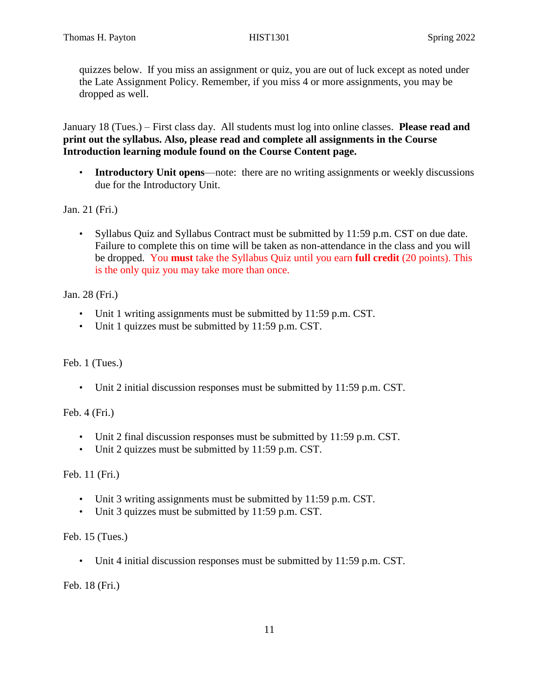quizzes below. If you miss an assignment or quiz, you are out of luck except as noted under the Late Assignment Policy. Remember, if you miss 4 or more assignments, you may be dropped as well.

January 18 (Tues.) – First class day. All students must log into online classes. **Please read and print out the syllabus. Also, please read and complete all assignments in the Course Introduction learning module found on the Course Content page.**

• **Introductory Unit opens**—note: there are no writing assignments or weekly discussions due for the Introductory Unit.

Jan. 21 (Fri.)

• Syllabus Quiz and Syllabus Contract must be submitted by 11:59 p.m. CST on due date. Failure to complete this on time will be taken as non-attendance in the class and you will be dropped. You **must** take the Syllabus Quiz until you earn **full credit** (20 points). This is the only quiz you may take more than once.

Jan. 28 (Fri.)

- Unit 1 writing assignments must be submitted by 11:59 p.m. CST.
- Unit 1 quizzes must be submitted by 11:59 p.m. CST.

Feb. 1 (Tues.)

• Unit 2 initial discussion responses must be submitted by 11:59 p.m. CST.

Feb. 4 (Fri.)

- Unit 2 final discussion responses must be submitted by 11:59 p.m. CST.
- Unit 2 quizzes must be submitted by 11:59 p.m. CST.

Feb. 11 (Fri.)

- Unit 3 writing assignments must be submitted by 11:59 p.m. CST.
- Unit 3 quizzes must be submitted by 11:59 p.m. CST.

Feb. 15 (Tues.)

• Unit 4 initial discussion responses must be submitted by 11:59 p.m. CST.

Feb. 18 (Fri.)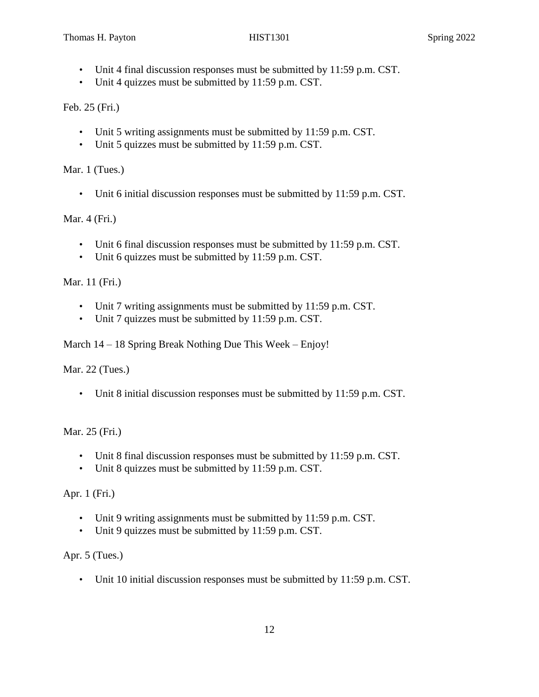- Unit 4 final discussion responses must be submitted by 11:59 p.m. CST.
- Unit 4 quizzes must be submitted by 11:59 p.m. CST.

Feb. 25 (Fri.)

- Unit 5 writing assignments must be submitted by 11:59 p.m. CST.
- Unit 5 quizzes must be submitted by 11:59 p.m. CST.

Mar. 1 (Tues.)

• Unit 6 initial discussion responses must be submitted by 11:59 p.m. CST.

Mar. 4 (Fri.)

- Unit 6 final discussion responses must be submitted by 11:59 p.m. CST.
- Unit 6 quizzes must be submitted by 11:59 p.m. CST.

Mar. 11 (Fri.)

- Unit 7 writing assignments must be submitted by 11:59 p.m. CST.
- Unit 7 quizzes must be submitted by 11:59 p.m. CST.

March 14 – 18 Spring Break Nothing Due This Week – Enjoy!

Mar. 22 (Tues.)

• Unit 8 initial discussion responses must be submitted by 11:59 p.m. CST.

Mar. 25 (Fri.)

- Unit 8 final discussion responses must be submitted by 11:59 p.m. CST.
- Unit 8 quizzes must be submitted by 11:59 p.m. CST.

Apr. 1 (Fri.)

- Unit 9 writing assignments must be submitted by 11:59 p.m. CST.
- Unit 9 quizzes must be submitted by 11:59 p.m. CST.

Apr. 5 (Tues.)

• Unit 10 initial discussion responses must be submitted by 11:59 p.m. CST.